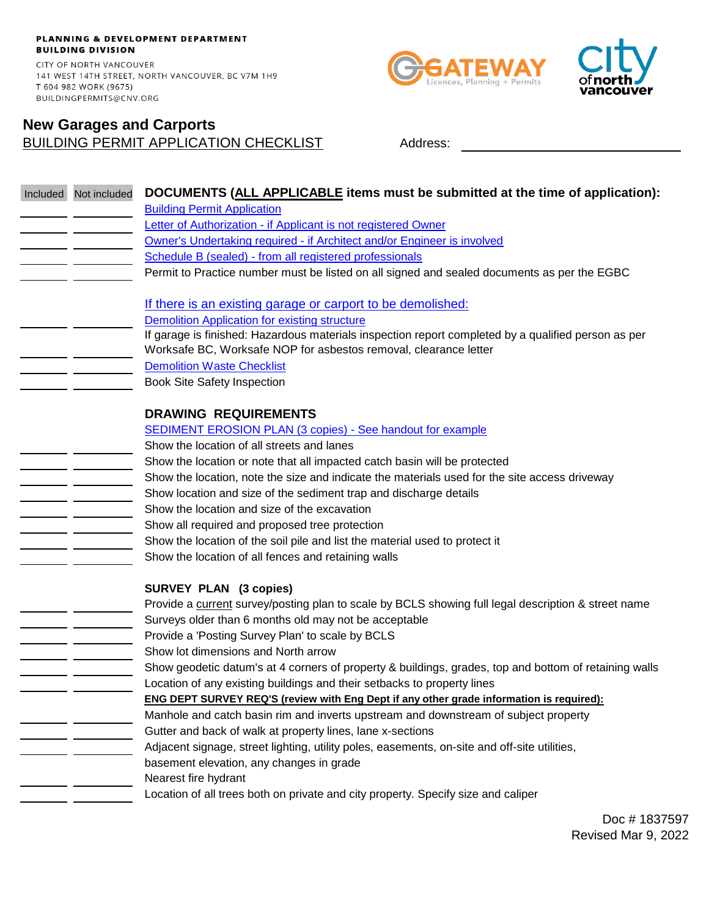PLANNING & DEVELOPMENT DEPARTMENT **BUILDING DIVISION** CITY OF NORTH VANCOUVER 141 WEST 14TH STREET, NORTH VANCOUVER, BC V7M 1H9 T 604 982 WORK (9675) BUILDINGPERMITS@CNV.ORG

# BUILDING PERMIT APPLICATION CHECKLIST Address: **New Garages and Carports**

Licences, Planning + Permits



| Included Not included | DOCUMENTS (ALL APPLICABLE items must be submitted at the time of application):                                                                                          |
|-----------------------|-------------------------------------------------------------------------------------------------------------------------------------------------------------------------|
|                       | <b>Building Permit Application</b>                                                                                                                                      |
|                       | Letter of Authorization - if Applicant is not registered Owner                                                                                                          |
|                       | Owner's Undertaking required - if Architect and/or Engineer is involved                                                                                                 |
|                       | Schedule B (sealed) - from all registered professionals                                                                                                                 |
|                       | Permit to Practice number must be listed on all signed and sealed documents as per the EGBC                                                                             |
|                       |                                                                                                                                                                         |
|                       | If there is an existing garage or carport to be demolished:                                                                                                             |
|                       | <b>Demolition Application for existing structure</b>                                                                                                                    |
|                       | If garage is finished: Hazardous materials inspection report completed by a qualified person as per<br>Worksafe BC, Worksafe NOP for asbestos removal, clearance letter |
|                       | <b>Demolition Waste Checklist</b>                                                                                                                                       |
|                       | <b>Book Site Safety Inspection</b>                                                                                                                                      |
|                       |                                                                                                                                                                         |
|                       | <b>DRAWING REQUIREMENTS</b>                                                                                                                                             |
|                       | <b>SEDIMENT EROSION PLAN (3 copies) - See handout for example</b>                                                                                                       |
|                       | Show the location of all streets and lanes                                                                                                                              |
|                       | Show the location or note that all impacted catch basin will be protected                                                                                               |
|                       | Show the location, note the size and indicate the materials used for the site access driveway                                                                           |
|                       | Show location and size of the sediment trap and discharge details                                                                                                       |
|                       | Show the location and size of the excavation                                                                                                                            |
|                       | Show all required and proposed tree protection                                                                                                                          |
|                       | Show the location of the soil pile and list the material used to protect it                                                                                             |
|                       | Show the location of all fences and retaining walls                                                                                                                     |
|                       |                                                                                                                                                                         |
|                       | <b>SURVEY PLAN (3 copies)</b>                                                                                                                                           |
|                       | Provide a current survey/posting plan to scale by BCLS showing full legal description & street name                                                                     |
|                       | Surveys older than 6 months old may not be acceptable                                                                                                                   |
|                       | Provide a 'Posting Survey Plan' to scale by BCLS                                                                                                                        |
|                       | Show lot dimensions and North arrow                                                                                                                                     |
|                       | Show geodetic datum's at 4 corners of property & buildings, grades, top and bottom of retaining walls                                                                   |
|                       | Location of any existing buildings and their setbacks to property lines                                                                                                 |
|                       | <b>ENG DEPT SURVEY REQ'S (review with Eng Dept if any other grade information is required):</b>                                                                         |
|                       | Manhole and catch basin rim and inverts upstream and downstream of subject property                                                                                     |
|                       | Gutter and back of walk at property lines, lane x-sections                                                                                                              |
|                       | Adjacent signage, street lighting, utility poles, easements, on-site and off-site utilities,                                                                            |
|                       | basement elevation, any changes in grade                                                                                                                                |
|                       | Nearest fire hydrant                                                                                                                                                    |
|                       | Location of all trees both on private and city property. Specify size and caliper                                                                                       |
|                       | <b>4007</b>                                                                                                                                                             |

Doc # 1837597 Revised Mar 9, 2022